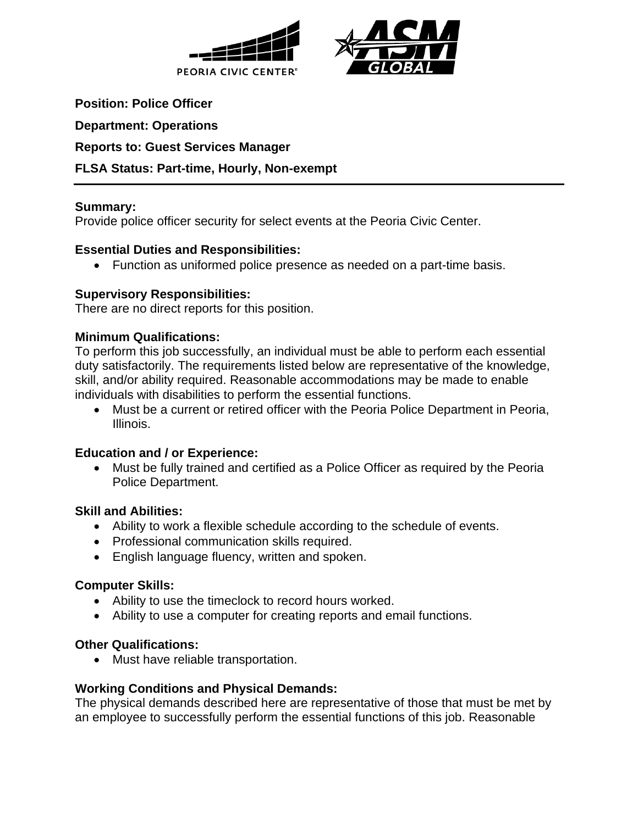



**Position: Police Officer**

**Department: Operations**

### **Reports to: Guest Services Manager**

# **FLSA Status: Part-time, Hourly, Non-exempt**

### **Summary:**

Provide police officer security for select events at the Peoria Civic Center.

### **Essential Duties and Responsibilities:**

• Function as uniformed police presence as needed on a part-time basis.

# **Supervisory Responsibilities:**

There are no direct reports for this position.

### **Minimum Qualifications:**

To perform this job successfully, an individual must be able to perform each essential duty satisfactorily. The requirements listed below are representative of the knowledge, skill, and/or ability required. Reasonable accommodations may be made to enable individuals with disabilities to perform the essential functions.

• Must be a current or retired officer with the Peoria Police Department in Peoria, Illinois.

# **Education and / or Experience:**

• Must be fully trained and certified as a Police Officer as required by the Peoria Police Department.

#### **Skill and Abilities:**

- Ability to work a flexible schedule according to the schedule of events.
- Professional communication skills required.
- English language fluency, written and spoken.

#### **Computer Skills:**

- Ability to use the timeclock to record hours worked.
- Ability to use a computer for creating reports and email functions.

#### **Other Qualifications:**

• Must have reliable transportation.

# **Working Conditions and Physical Demands:**

The physical demands described here are representative of those that must be met by an employee to successfully perform the essential functions of this job. Reasonable